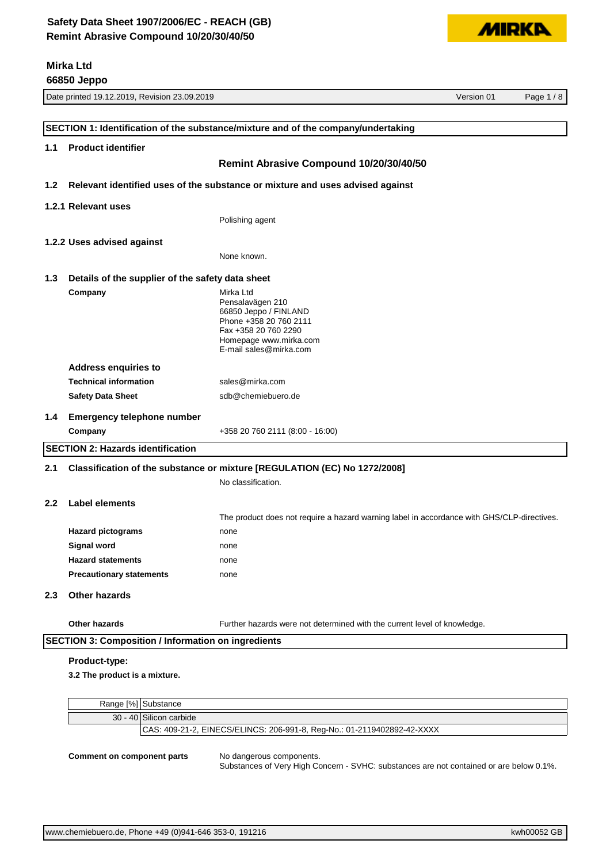

|                  | 66850 Jeppo                                                               |                                                                                            |  |          |
|------------------|---------------------------------------------------------------------------|--------------------------------------------------------------------------------------------|--|----------|
|                  | Date printed 19.12.2019, Revision 23.09.2019<br>Version 01                |                                                                                            |  | Page 1/8 |
|                  |                                                                           |                                                                                            |  |          |
|                  |                                                                           | SECTION 1: Identification of the substance/mixture and of the company/undertaking          |  |          |
| 1.1              | <b>Product identifier</b>                                                 |                                                                                            |  |          |
|                  |                                                                           | Remint Abrasive Compound 10/20/30/40/50                                                    |  |          |
|                  |                                                                           | Relevant identified uses of the substance or mixture and uses advised against              |  |          |
| 1.2              |                                                                           |                                                                                            |  |          |
|                  | 1.2.1 Relevant uses                                                       |                                                                                            |  |          |
|                  |                                                                           | Polishing agent                                                                            |  |          |
|                  | 1.2.2 Uses advised against                                                |                                                                                            |  |          |
|                  |                                                                           | None known.                                                                                |  |          |
| 1.3              | Details of the supplier of the safety data sheet                          |                                                                                            |  |          |
|                  | Company                                                                   | Mirka Ltd                                                                                  |  |          |
|                  |                                                                           | Pensalavägen 210                                                                           |  |          |
|                  |                                                                           | 66850 Jeppo / FINLAND<br>Phone +358 20 760 2111                                            |  |          |
|                  |                                                                           | Fax +358 20 760 2290                                                                       |  |          |
|                  |                                                                           | Homepage www.mirka.com<br>E-mail sales@mirka.com                                           |  |          |
|                  | <b>Address enquiries to</b>                                               |                                                                                            |  |          |
|                  | <b>Technical information</b>                                              | sales@mirka.com                                                                            |  |          |
|                  | <b>Safety Data Sheet</b>                                                  | sdb@chemiebuero.de                                                                         |  |          |
| 1.4              | <b>Emergency telephone number</b>                                         |                                                                                            |  |          |
|                  | Company                                                                   | +358 20 760 2111 (8:00 - 16:00)                                                            |  |          |
|                  | <b>SECTION 2: Hazards identification</b>                                  |                                                                                            |  |          |
| 2.1              | Classification of the substance or mixture [REGULATION (EC) No 1272/2008] |                                                                                            |  |          |
|                  |                                                                           | No classification.                                                                         |  |          |
| 2.2 <sub>2</sub> | Label elements                                                            |                                                                                            |  |          |
|                  |                                                                           | The product does not require a hazard warning label in accordance with GHS/CLP-directives. |  |          |
|                  | <b>Hazard pictograms</b>                                                  | none                                                                                       |  |          |
|                  | Signal word                                                               | none                                                                                       |  |          |
|                  | <b>Hazard statements</b>                                                  | none                                                                                       |  |          |
|                  | <b>Precautionary statements</b>                                           | none                                                                                       |  |          |
| 2.3              | <b>Other hazards</b>                                                      |                                                                                            |  |          |
|                  |                                                                           |                                                                                            |  |          |
|                  | <b>Other hazards</b>                                                      | Further hazards were not determined with the current level of knowledge.                   |  |          |
|                  | <b>SECTION 3: Composition / Information on ingredients</b>                |                                                                                            |  |          |
|                  | Product-type:                                                             |                                                                                            |  |          |
|                  | 3.2 The product is a mixture.                                             |                                                                                            |  |          |
|                  |                                                                           |                                                                                            |  |          |
|                  | Range [%] Substance                                                       |                                                                                            |  |          |

| Range [%] Substance                                                     |
|-------------------------------------------------------------------------|
| 30 - 40 Silicon carbide                                                 |
| CAS: 409-21-2, EINECS/ELINCS: 206-991-8, Reg-No.: 01-2119402892-42-XXXX |
|                                                                         |

#### **Comment on component parts** No dangerous components.

Substances of Very High Concern - SVHC: substances are not contained or are below 0.1%.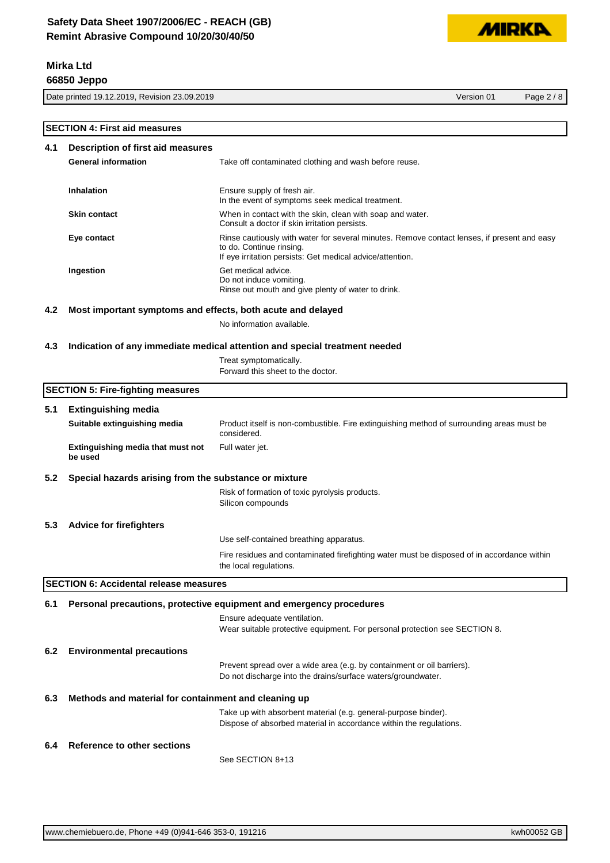**66850 Jeppo**

Date printed 19.12.2019, Revision 23.09.2019 Version 01 Page 2 / 8

**MIRKA** 

|     | <b>SECTION 4: First aid measures</b>                        |                                                                                                                                                                                      |
|-----|-------------------------------------------------------------|--------------------------------------------------------------------------------------------------------------------------------------------------------------------------------------|
| 4.1 | Description of first aid measures                           |                                                                                                                                                                                      |
|     | <b>General information</b>                                  | Take off contaminated clothing and wash before reuse.                                                                                                                                |
|     | Inhalation                                                  | Ensure supply of fresh air.<br>In the event of symptoms seek medical treatment.                                                                                                      |
|     | <b>Skin contact</b>                                         | When in contact with the skin, clean with soap and water.<br>Consult a doctor if skin irritation persists.                                                                           |
|     | Eye contact                                                 | Rinse cautiously with water for several minutes. Remove contact lenses, if present and easy<br>to do. Continue rinsing.<br>If eye irritation persists: Get medical advice/attention. |
|     | Ingestion                                                   | Get medical advice.<br>Do not induce vomiting.<br>Rinse out mouth and give plenty of water to drink.                                                                                 |
| 4.2 | Most important symptoms and effects, both acute and delayed |                                                                                                                                                                                      |
|     |                                                             | No information available.                                                                                                                                                            |
| 4.3 |                                                             | Indication of any immediate medical attention and special treatment needed                                                                                                           |
|     |                                                             | Treat symptomatically.<br>Forward this sheet to the doctor.                                                                                                                          |
|     | <b>SECTION 5: Fire-fighting measures</b>                    |                                                                                                                                                                                      |
| 5.1 | <b>Extinguishing media</b>                                  |                                                                                                                                                                                      |
|     | Suitable extinguishing media                                | Product itself is non-combustible. Fire extinguishing method of surrounding areas must be<br>considered.                                                                             |
|     | Extinguishing media that must not<br>be used                | Full water jet.                                                                                                                                                                      |
| 5.2 | Special hazards arising from the substance or mixture       |                                                                                                                                                                                      |
|     |                                                             | Risk of formation of toxic pyrolysis products.<br>Silicon compounds                                                                                                                  |
| 5.3 | <b>Advice for firefighters</b>                              |                                                                                                                                                                                      |
|     |                                                             | Use self-contained breathing apparatus.                                                                                                                                              |
|     |                                                             | Fire residues and contaminated firefighting water must be disposed of in accordance within<br>the local regulations.                                                                 |
|     | <b>SECTION 6: Accidental release measures</b>               |                                                                                                                                                                                      |
| 6.1 |                                                             | Personal precautions, protective equipment and emergency procedures                                                                                                                  |
|     |                                                             | Ensure adequate ventilation.<br>Wear suitable protective equipment. For personal protection see SECTION 8.                                                                           |
| 6.2 | <b>Environmental precautions</b>                            |                                                                                                                                                                                      |
|     |                                                             | Prevent spread over a wide area (e.g. by containment or oil barriers).<br>Do not discharge into the drains/surface waters/groundwater.                                               |
| 6.3 | Methods and material for containment and cleaning up        |                                                                                                                                                                                      |
|     |                                                             | Take up with absorbent material (e.g. general-purpose binder).<br>Dispose of absorbed material in accordance within the regulations.                                                 |
| 6.4 | Reference to other sections                                 |                                                                                                                                                                                      |
|     |                                                             | See SECTION 8+13                                                                                                                                                                     |
|     |                                                             |                                                                                                                                                                                      |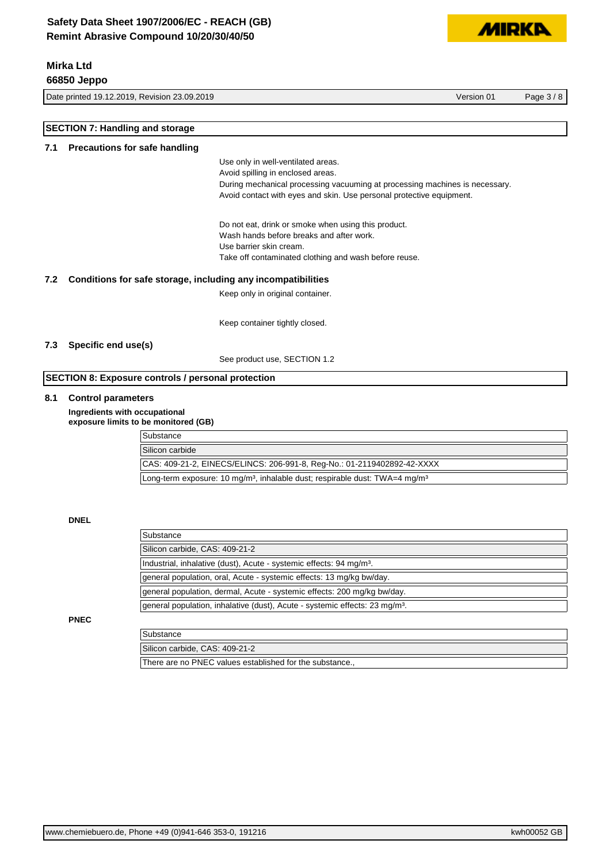**66850 Jeppo**

Date printed 19.12.2019, Revision 23.09.2019 Version 01 Page 3 / 8

**MIRKA** 

|                                      | <b>SECTION 7: Handling and storage</b> |                                                                                                     |  |
|--------------------------------------|----------------------------------------|-----------------------------------------------------------------------------------------------------|--|
| Precautions for safe handling<br>7.1 |                                        |                                                                                                     |  |
|                                      |                                        | Use only in well-ventilated areas.                                                                  |  |
|                                      |                                        | Avoid spilling in enclosed areas.                                                                   |  |
|                                      |                                        | During mechanical processing vacuuming at processing machines is necessary.                         |  |
|                                      |                                        | Avoid contact with eyes and skin. Use personal protective equipment.                                |  |
|                                      |                                        | Do not eat, drink or smoke when using this product.                                                 |  |
|                                      |                                        | Wash hands before breaks and after work.                                                            |  |
|                                      |                                        | Use barrier skin cream.                                                                             |  |
|                                      |                                        | Take off contaminated clothing and wash before reuse.                                               |  |
| 7.2                                  |                                        | Conditions for safe storage, including any incompatibilities                                        |  |
|                                      |                                        | Keep only in original container.                                                                    |  |
|                                      |                                        | Keep container tightly closed.                                                                      |  |
| 7.3                                  | Specific end use(s)                    |                                                                                                     |  |
|                                      |                                        | See product use, SECTION 1.2                                                                        |  |
|                                      |                                        |                                                                                                     |  |
|                                      |                                        | <b>SECTION 8: Exposure controls / personal protection</b>                                           |  |
| 8.1                                  | <b>Control parameters</b>              |                                                                                                     |  |
|                                      |                                        | Ingredients with occupational<br>exposure limits to be monitored (GB)                               |  |
|                                      |                                        | Substance                                                                                           |  |
|                                      |                                        | Silicon carbide                                                                                     |  |
|                                      |                                        | CAS: 409-21-2, EINECS/ELINCS: 206-991-8, Reg-No.: 01-2119402892-42-XXXX                             |  |
|                                      |                                        | Long-term exposure: 10 mg/m <sup>3</sup> , inhalable dust; respirable dust: TWA=4 mg/m <sup>3</sup> |  |
|                                      |                                        |                                                                                                     |  |
|                                      | <b>DNEL</b>                            |                                                                                                     |  |
|                                      |                                        | Substance                                                                                           |  |
|                                      |                                        | Silicon carbide, CAS: 409-21-2                                                                      |  |
|                                      |                                        | Industrial, inhalative (dust), Acute - systemic effects: 94 mg/m <sup>3</sup> .                     |  |
|                                      |                                        | general population, oral, Acute - systemic effects: 13 mg/kg bw/day.                                |  |
|                                      |                                        | general population, dermal, Acute - systemic effects: 200 mg/kg bw/day.                             |  |
|                                      |                                        | general population, inhalative (dust), Acute - systemic effects: 23 mg/m <sup>3</sup> .             |  |
|                                      | <b>PNEC</b>                            |                                                                                                     |  |
|                                      |                                        | Substance                                                                                           |  |
|                                      |                                        | Silicon carbide, CAS: 409-21-2                                                                      |  |
|                                      |                                        | There are no PNEC values established for the substance.,                                            |  |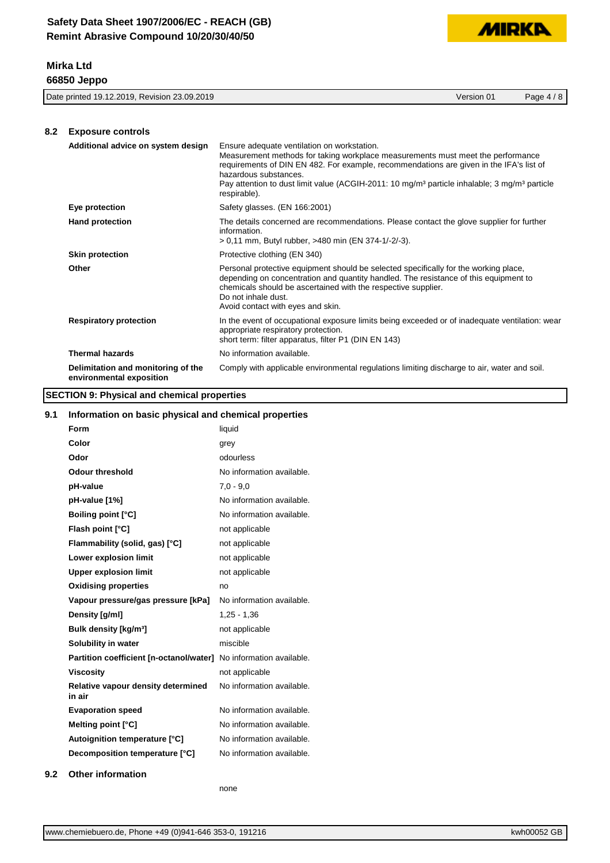

| 23.09.2019<br>$'$ 19.12.2019.<br>Revision<br>Date printed | Version 01 | ہ ،<br>Paɑe |
|-----------------------------------------------------------|------------|-------------|
|                                                           |            |             |

## **8.2 Exposure controls**

| Additional advice on system design                             | Ensure adequate ventilation on workstation.<br>Measurement methods for taking workplace measurements must meet the performance<br>requirements of DIN EN 482. For example, recommendations are given in the IFA's list of<br>hazardous substances.<br>Pay attention to dust limit value (ACGIH-2011: 10 mg/m <sup>3</sup> particle inhalable; 3 mg/m <sup>3</sup> particle<br>respirable). |
|----------------------------------------------------------------|--------------------------------------------------------------------------------------------------------------------------------------------------------------------------------------------------------------------------------------------------------------------------------------------------------------------------------------------------------------------------------------------|
| Eye protection                                                 | Safety glasses. (EN 166:2001)                                                                                                                                                                                                                                                                                                                                                              |
| <b>Hand protection</b>                                         | The details concerned are recommendations. Please contact the glove supplier for further<br>information.<br>> 0,11 mm, Butyl rubber, >480 min (EN 374-1/-2/-3).                                                                                                                                                                                                                            |
| <b>Skin protection</b>                                         | Protective clothing (EN 340)                                                                                                                                                                                                                                                                                                                                                               |
| Other                                                          | Personal protective equipment should be selected specifically for the working place,<br>depending on concentration and quantity handled. The resistance of this equipment to<br>chemicals should be ascertained with the respective supplier.<br>Do not inhale dust.<br>Avoid contact with eyes and skin.                                                                                  |
| <b>Respiratory protection</b>                                  | In the event of occupational exposure limits being exceeded or of inadequate ventilation: wear<br>appropriate respiratory protection.<br>short term: filter apparatus, filter P1 (DIN EN 143)                                                                                                                                                                                              |
| <b>Thermal hazards</b>                                         | No information available.                                                                                                                                                                                                                                                                                                                                                                  |
| Delimitation and monitoring of the<br>environmental exposition | Comply with applicable environmental regulations limiting discharge to air, water and soil.                                                                                                                                                                                                                                                                                                |

## **SECTION 9: Physical and chemical properties**

## **9.1 Information on basic physical and chemical properties**

| Form                                                              | liquid                    |
|-------------------------------------------------------------------|---------------------------|
| Color                                                             | grey                      |
| Odor                                                              | odourless                 |
| <b>Odour threshold</b>                                            | No information available. |
| pH-value                                                          | $7.0 - 9.0$               |
| pH-value [1%]                                                     | No information available. |
| <b>Boiling point [°C]</b>                                         | No information available. |
| Flash point [°C]                                                  | not applicable            |
| Flammability (solid, gas) [°C]                                    | not applicable            |
| Lower explosion limit                                             | not applicable            |
| <b>Upper explosion limit</b>                                      | not applicable            |
| <b>Oxidising properties</b>                                       | no                        |
| Vapour pressure/gas pressure [kPa]                                | No information available. |
| Density [g/ml]                                                    | $1,25 - 1,36$             |
| Bulk density [kg/m <sup>3</sup> ]                                 | not applicable            |
| Solubility in water                                               | miscible                  |
| Partition coefficient [n-octanol/water] No information available. |                           |
| Viscosity                                                         | not applicable            |
| Relative vapour density determined<br>in air                      | No information available. |
| <b>Evaporation speed</b>                                          | No information available. |
| Melting point [°C]                                                | No information available. |
| Autoignition temperature [°C]                                     | No information available. |
| Decomposition temperature [°C]                                    | No information available. |
|                                                                   |                           |

## **9.2 Other information**

none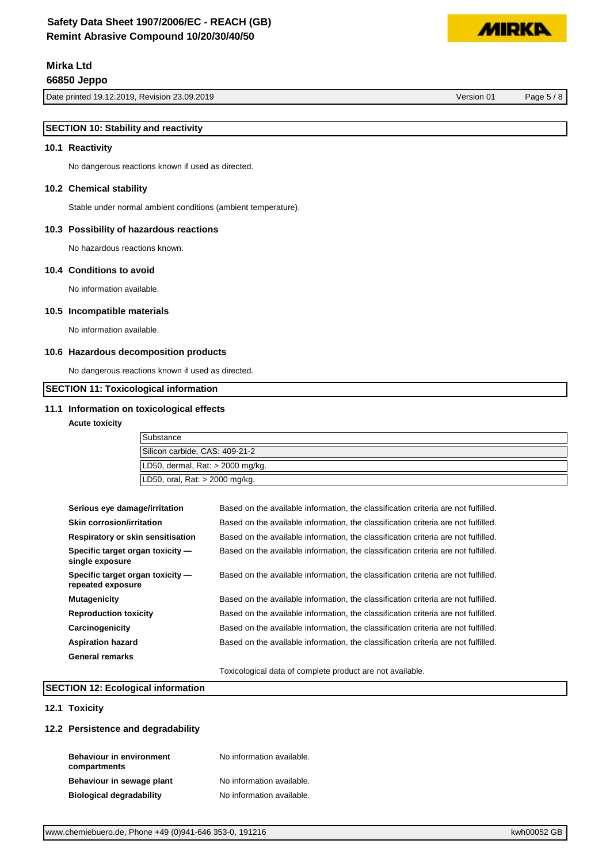Date printed 19.12.2019, Revision 23.09.2019 Version 01 Page 5 / 8

## **SECTION 10: Stability and reactivity**

#### **10.1 Reactivity**

No dangerous reactions known if used as directed.

#### **10.2 Chemical stability**

Stable under normal ambient conditions (ambient temperature).

#### **10.3 Possibility of hazardous reactions**

No hazardous reactions known.

#### **10.4 Conditions to avoid**

No information available.

#### **10.5 Incompatible materials**

No information available.

#### **10.6 Hazardous decomposition products**

No dangerous reactions known if used as directed.

#### **SECTION 11: Toxicological information**

#### **11.1 Information on toxicological effects**

**Acute toxicity**

| Substance                            |  |
|--------------------------------------|--|
| Silicon carbide, CAS: 409-21-2       |  |
| LD50, dermal, Rat: $>$ 2000 mg/kg.   |  |
| $ LD50$ , oral, Rat: $>$ 2000 mg/kg. |  |

| Serious eye damage/irritation                         | Based on the available information, the classification criteria are not fulfilled. |
|-------------------------------------------------------|------------------------------------------------------------------------------------|
| <b>Skin corrosion/irritation</b>                      | Based on the available information, the classification criteria are not fulfilled. |
| Respiratory or skin sensitisation                     | Based on the available information, the classification criteria are not fulfilled. |
| Specific target organ toxicity —<br>single exposure   | Based on the available information, the classification criteria are not fulfilled. |
| Specific target organ toxicity —<br>repeated exposure | Based on the available information, the classification criteria are not fulfilled. |
| <b>Mutagenicity</b>                                   | Based on the available information, the classification criteria are not fulfilled. |
| <b>Reproduction toxicity</b>                          | Based on the available information, the classification criteria are not fulfilled. |
| Carcinogenicity                                       | Based on the available information, the classification criteria are not fulfilled. |
| <b>Aspiration hazard</b>                              | Based on the available information, the classification criteria are not fulfilled. |
| General remarks                                       |                                                                                    |
|                                                       | Toxicological data of complete product are not available.                          |

#### **SECTION 12: Ecological information**

#### **12.1 Toxicity**

#### **12.2 Persistence and degradability**

| <b>Behaviour in environment</b> | No information available. |
|---------------------------------|---------------------------|
| compartments                    |                           |
| Behaviour in sewage plant       | No information available. |
| <b>Biological degradability</b> | No information available. |

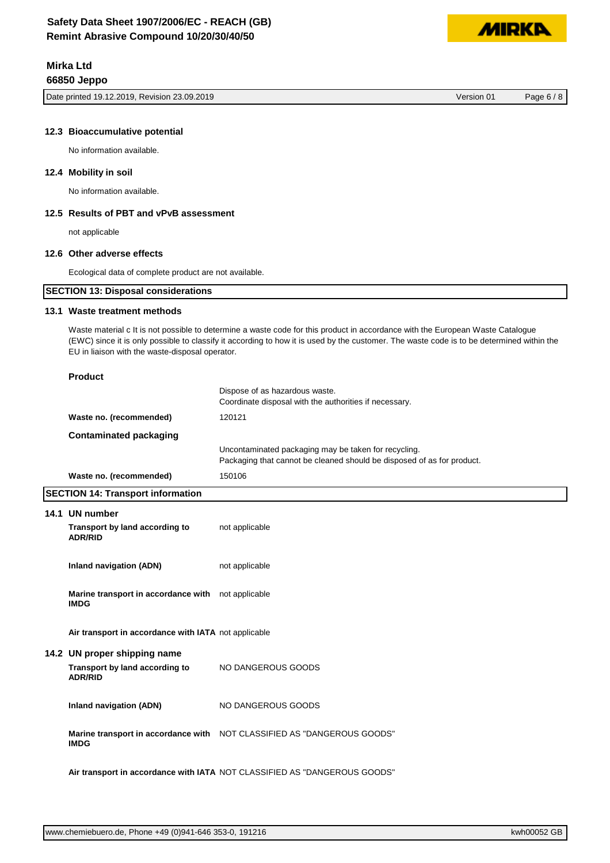Date printed 19.12.2019, Revision 23.09.2019 Version 01 Page 6 / 8

**MIDKI** 

#### **12.3 Bioaccumulative potential**

No information available.

#### **12.4 Mobility in soil**

No information available.

### **12.5 Results of PBT and vPvB assessment**

not applicable

#### **12.6 Other adverse effects**

Ecological data of complete product are not available.

| <b>SECTION 13: Disposal considerations</b> |  |
|--------------------------------------------|--|
|                                            |  |

#### **13.1 Waste treatment methods**

Waste material c It is not possible to determine a waste code for this product in accordance with the European Waste Catalogue (EWC) since it is only possible to classify it according to how it is used by the customer. The waste code is to be determined within the EU in liaison with the waste-disposal operator.

| <b>Product</b>                                                    |                                                                                                                                |
|-------------------------------------------------------------------|--------------------------------------------------------------------------------------------------------------------------------|
|                                                                   | Dispose of as hazardous waste.<br>Coordinate disposal with the authorities if necessary.                                       |
| Waste no. (recommended)                                           | 120121                                                                                                                         |
| <b>Contaminated packaging</b>                                     |                                                                                                                                |
|                                                                   | Uncontaminated packaging may be taken for recycling.<br>Packaging that cannot be cleaned should be disposed of as for product. |
| Waste no. (recommended)                                           | 150106                                                                                                                         |
| <b>SECTION 14: Transport information</b>                          |                                                                                                                                |
| 14.1 UN number                                                    |                                                                                                                                |
| Transport by land according to<br><b>ADR/RID</b>                  | not applicable                                                                                                                 |
| Inland navigation (ADN)                                           | not applicable                                                                                                                 |
| Marine transport in accordance with not applicable<br><b>IMDG</b> |                                                                                                                                |
| Air transport in accordance with IATA not applicable              |                                                                                                                                |
| 14.2 UN proper shipping name                                      |                                                                                                                                |
| Transport by land according to<br><b>ADR/RID</b>                  | NO DANGEROUS GOODS                                                                                                             |
| <b>Inland navigation (ADN)</b>                                    | NO DANGEROUS GOODS                                                                                                             |
| <b>IMDG</b>                                                       | Marine transport in accordance with NOT CLASSIFIED AS "DANGEROUS GOODS"                                                        |
|                                                                   | Air transport in accordance with IATA NOT CLASSIFIED AS "DANGEROUS GOODS"                                                      |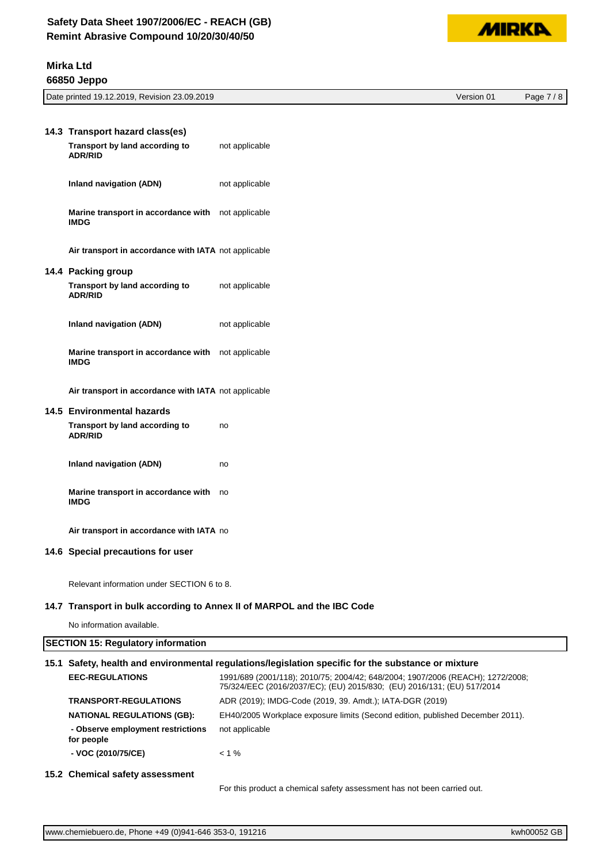

| Date printed 19.12.2019,<br>Revision 23.09.2019 | Version 01 | $\Omega$<br>$P$ ade<br>$\Omega$ |
|-------------------------------------------------|------------|---------------------------------|
|                                                 |            |                                 |

| 14.3 Transport hazard class(es)                                   |                |
|-------------------------------------------------------------------|----------------|
| Transport by land according to<br><b>ADR/RID</b>                  | not applicable |
| Inland navigation (ADN)                                           | not applicable |
| Marine transport in accordance with<br><b>IMDG</b>                | not applicable |
| Air transport in accordance with IATA not applicable              |                |
| 14.4 Packing group                                                |                |
| Transport by land according to<br><b>ADR/RID</b>                  | not applicable |
| Inland navigation (ADN)                                           | not applicable |
| Marine transport in accordance with not applicable<br><b>IMDG</b> |                |
| Air transport in accordance with IATA not applicable              |                |
| 14.5 Environmental hazards                                        |                |
| Transport by land according to<br><b>ADR/RID</b>                  | no             |
| <b>Inland navigation (ADN)</b>                                    | no             |
| Marine transport in accordance with<br><b>IMDG</b>                | no             |
| Air transport in accordance with IATA no                          |                |
| 14.6 Special precautions for user                                 |                |
|                                                                   |                |

Relevant information under SECTION 6 to 8.

#### **14.7 Transport in bulk according to Annex II of MARPOL and the IBC Code**

No information available.

## **SECTION 15: Regulatory information**

## **15.1 Safety, health and environmental regulations/legislation specific for the substance or mixture**

| <b>EEC-REGULATIONS</b>                          | 1991/689 (2001/118); 2010/75; 2004/42; 648/2004; 1907/2006 (REACH); 1272/2008;<br>75/324/EEC (2016/2037/EC); (EU) 2015/830; (EU) 2016/131; (EU) 517/2014 |
|-------------------------------------------------|----------------------------------------------------------------------------------------------------------------------------------------------------------|
| <b>TRANSPORT-REGULATIONS</b>                    | ADR (2019); IMDG-Code (2019, 39. Amdt.); IATA-DGR (2019)                                                                                                 |
| <b>NATIONAL REGULATIONS (GB):</b>               | EH40/2005 Workplace exposure limits (Second edition, published December 2011).                                                                           |
| - Observe employment restrictions<br>for people | not applicable                                                                                                                                           |
| - VOC (2010/75/CE)                              | $< 1 \%$                                                                                                                                                 |
|                                                 |                                                                                                                                                          |

## **15.2 Chemical safety assessment**

For this product a chemical safety assessment has not been carried out.